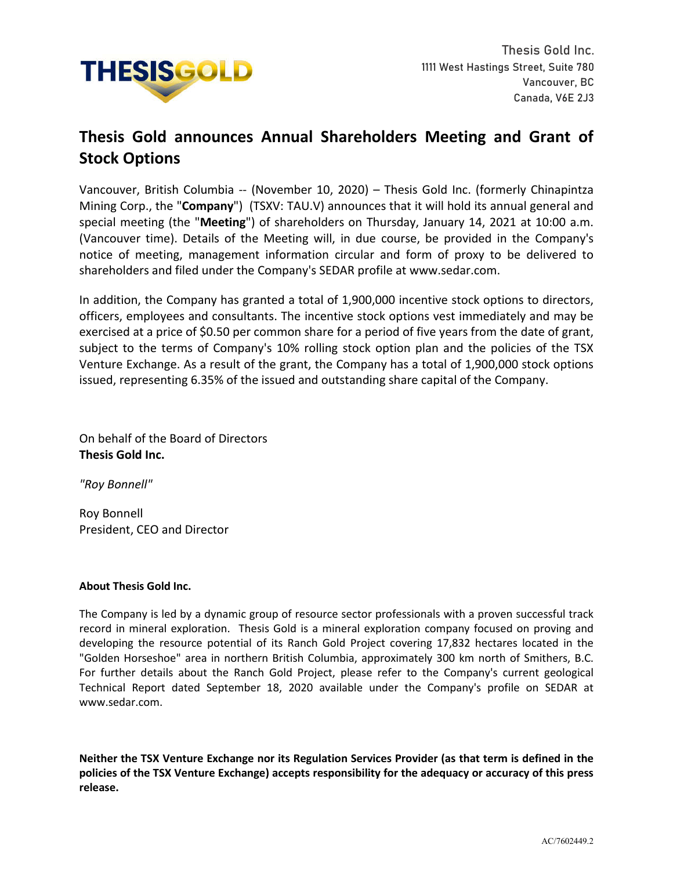

## **Thesis Gold announces Annual Shareholders Meeting and Grant of Stock Options**

Vancouver, British Columbia -- (November 10, 2020) – Thesis Gold Inc. (formerly Chinapintza Mining Corp., the "**Company**") (TSXV: TAU.V) announces that it will hold its annual general and special meeting (the "**Meeting**") of shareholders on Thursday, January 14, 2021 at 10:00 a.m. (Vancouver time). Details of the Meeting will, in due course, be provided in the Company's notice of meeting, management information circular and form of proxy to be delivered to shareholders and filed under the Company's SEDAR profile at www.sedar.com.

In addition, the Company has granted a total of 1,900,000 incentive stock options to directors, officers, employees and consultants. The incentive stock options vest immediately and may be exercised at a price of \$0.50 per common share for a period of five years from the date of grant, subject to the terms of Company's 10% rolling stock option plan and the policies of the TSX Venture Exchange. As a result of the grant, the Company has a total of 1,900,000 stock options issued, representing 6.35% of the issued and outstanding share capital of the Company.

On behalf of the Board of Directors **Thesis Gold Inc.**

*"Roy Bonnell"*

Roy Bonnell President, CEO and Director

## **About Thesis Gold Inc.**

The Company is led by a dynamic group of resource sector professionals with a proven successful track record in mineral exploration. Thesis Gold is a mineral exploration company focused on proving and developing the resource potential of its Ranch Gold Project covering 17,832 hectares located in the "Golden Horseshoe" area in northern British Columbia, approximately 300 km north of Smithers, B.C. For further details about the Ranch Gold Project, please refer to the Company's current geological Technical Report dated September 18, 2020 available under the Company's profile on SEDAR at www.sedar.com.

**Neither the TSX Venture Exchange nor its Regulation Services Provider (as that term is defined in the policies of the TSX Venture Exchange) accepts responsibility for the adequacy or accuracy of this press release.**